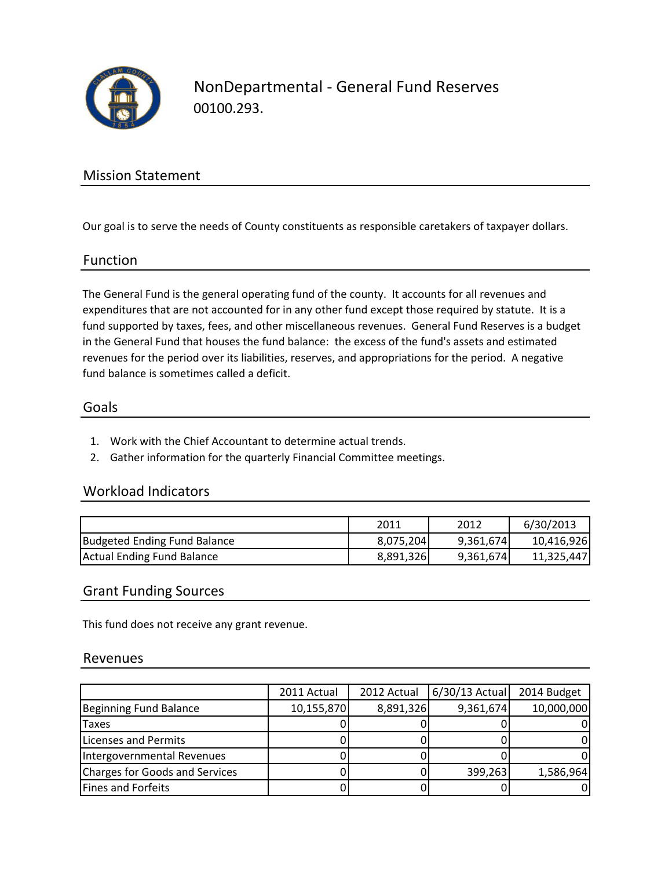

NonDepartmental - General Fund Reserves 00100.293.

## Mission Statement

Our goal is to serve the needs of County constituents as responsible caretakers of taxpayer dollars.

#### Function

The General Fund is the general operating fund of the county. It accounts for all revenues and expenditures that are not accounted for in any other fund except those required by statute. It is a fund supported by taxes, fees, and other miscellaneous revenues. General Fund Reserves is a budget in the General Fund that houses the fund balance: the excess of the fund's assets and estimated revenues for the period over its liabilities, reserves, and appropriations for the period. A negative fund balance is sometimes called a deficit.

#### Goals

- 1. Work with the Chief Accountant to determine actual trends.
- 2. Gather information for the quarterly Financial Committee meetings.

### Workload Indicators

|                              | 2011      | 2012      | 6/30/2013  |
|------------------------------|-----------|-----------|------------|
| Budgeted Ending Fund Balance | 8,075,204 | 9,361,674 | 10,416,926 |
| Actual Ending Fund Balance   | 8,891,326 | 9,361,674 | 11.325.447 |

#### Grant Funding Sources

This fund does not receive any grant revenue.

#### Revenues

|                                       | 2011 Actual | 2012 Actual | 6/30/13 Actual | 2014 Budget |
|---------------------------------------|-------------|-------------|----------------|-------------|
| Beginning Fund Balance                | 10,155,870  | 8,891,326   | 9,361,674      | 10,000,000  |
| Taxes                                 |             |             |                |             |
| Licenses and Permits                  |             |             |                |             |
| Intergovernmental Revenues            |             |             |                |             |
| <b>Charges for Goods and Services</b> |             |             | 399,263        | 1,586,964   |
| <b>Fines and Forfeits</b>             |             |             |                |             |